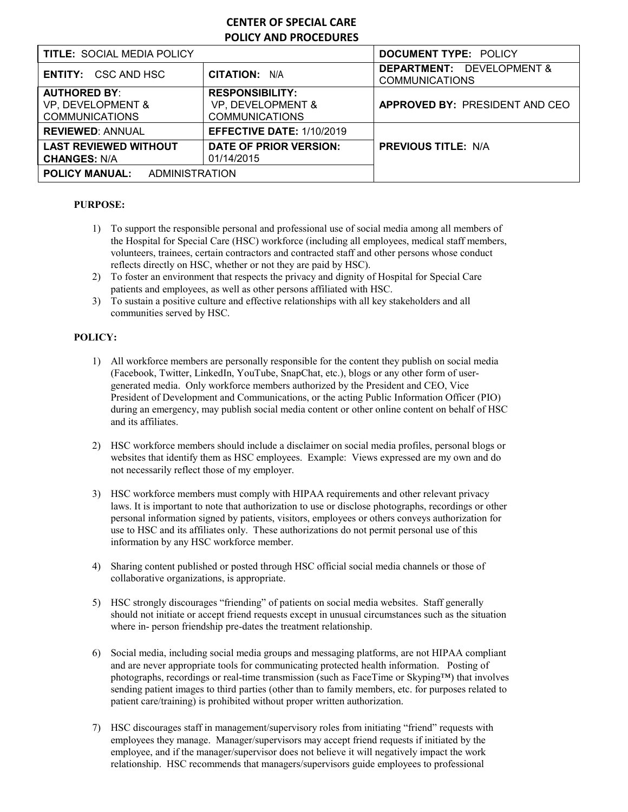# **CENTER OF SPECIAL CARE POLICY AND PROCEDURES**

| <b>TITLE: SOCIAL MEDIA POLICY</b>                                 |                                                                      | <b>DOCUMENT TYPE: POLICY</b>                                  |
|-------------------------------------------------------------------|----------------------------------------------------------------------|---------------------------------------------------------------|
| <b>ENTITY: CSC AND HSC</b>                                        | <b>CITATION: N/A</b>                                                 | <b>DEPARTMENT: DEVELOPMENT &amp;</b><br><b>COMMUNICATIONS</b> |
| <b>AUTHORED BY:</b><br>VP, DEVELOPMENT &<br><b>COMMUNICATIONS</b> | <b>RESPONSIBILITY:</b><br>VP, DEVELOPMENT &<br><b>COMMUNICATIONS</b> | <b>APPROVED BY: PRESIDENT AND CEO</b>                         |
| <b>REVIEWED: ANNUAL</b>                                           | <b>EFFECTIVE DATE: 1/10/2019</b>                                     |                                                               |
| <b>LAST REVIEWED WITHOUT</b><br><b>CHANGES: N/A</b>               | DATE OF PRIOR VERSION:<br>01/14/2015                                 | <b>PREVIOUS TITLE: N/A</b>                                    |
| <b>POLICY MANUAL: ADMINISTRATION</b>                              |                                                                      |                                                               |

### **PURPOSE:**

- 1) To support the responsible personal and professional use of social media among all members of the Hospital for Special Care (HSC) workforce (including all employees, medical staff members, volunteers, trainees, certain contractors and contracted staff and other persons whose conduct reflects directly on HSC, whether or not they are paid by HSC).
- 2) To foster an environment that respects the privacy and dignity of Hospital for Special Care patients and employees, as well as other persons affiliated with HSC.
- 3) To sustain a positive culture and effective relationships with all key stakeholders and all communities served by HSC.

### **POLICY:**

- 1) All workforce members are personally responsible for the content they publish on social media (Facebook, Twitter, LinkedIn, YouTube, SnapChat, etc.), blogs or any other form of usergenerated media. Only workforce members authorized by the President and CEO, Vice President of Development and Communications, or the acting Public Information Officer (PIO) during an emergency, may publish social media content or other online content on behalf of HSC and its affiliates.
- 2) HSC workforce members should include a disclaimer on social media profiles, personal blogs or websites that identify them as HSC employees. Example: Views expressed are my own and do not necessarily reflect those of my employer.
- 3) HSC workforce members must comply with HIPAA requirements and other relevant privacy laws. It is important to note that authorization to use or disclose photographs, recordings or other personal information signed by patients, visitors, employees or others conveys authorization for use to HSC and its affiliates only. These authorizations do not permit personal use of this information by any HSC workforce member.
- 4) Sharing content published or posted through HSC official social media channels or those of collaborative organizations, is appropriate.
- 5) HSC strongly discourages "friending" of patients on social media websites. Staff generally should not initiate or accept friend requests except in unusual circumstances such as the situation where in- person friendship pre-dates the treatment relationship.
- 6) Social media, including social media groups and messaging platforms, are not HIPAA compliant and are never appropriate tools for communicating protected health information. Posting of photographs, recordings or real-time transmission (such as FaceTime or Skyping™) that involves sending patient images to third parties (other than to family members, etc. for purposes related to patient care/training) is prohibited without proper written authorization.
- 7) HSC discourages staff in management/supervisory roles from initiating "friend" requests with employees they manage. Manager/supervisors may accept friend requests if initiated by the employee, and if the manager/supervisor does not believe it will negatively impact the work relationship. HSC recommends that managers/supervisors guide employees to professional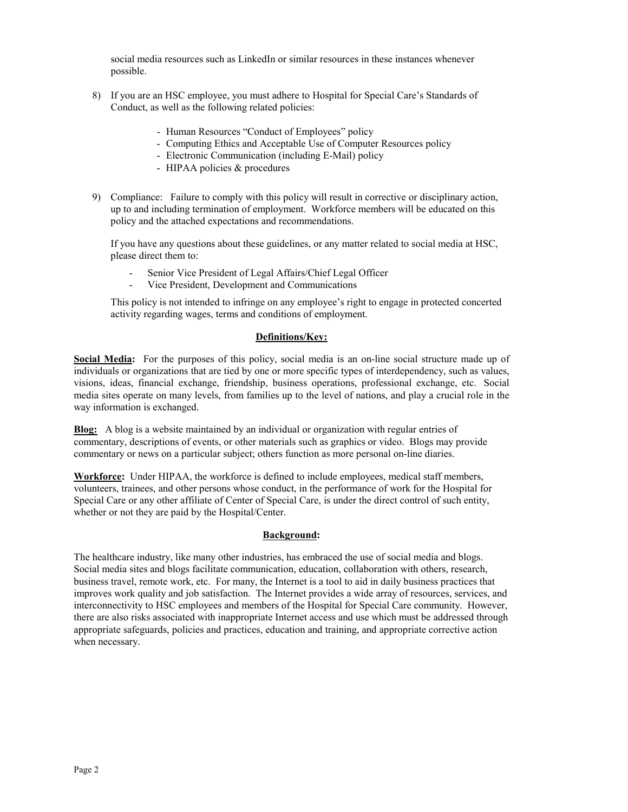social media resources such as LinkedIn or similar resources in these instances whenever possible.

- 8) If you are an HSC employee, you must adhere to Hospital for Special Care's Standards of Conduct, as well as the following related policies:
	- Human Resources "Conduct of Employees" policy
	- Computing Ethics and Acceptable Use of Computer Resources policy
	- Electronic Communication (including E-Mail) policy
	- HIPAA policies & procedures
- 9) Compliance: Failure to comply with this policy will result in corrective or disciplinary action, up to and including termination of employment. Workforce members will be educated on this policy and the attached expectations and recommendations.

If you have any questions about these guidelines, or any matter related to social media at HSC, please direct them to:

- Senior Vice President of Legal Affairs/Chief Legal Officer
- Vice President, Development and Communications

This policy is not intended to infringe on any employee's right to engage in protected concerted activity regarding wages, terms and conditions of employment.

#### **Definitions/Key:**

**Social Media:** For the purposes of this policy, social media is an on-line social structure made up of individuals or organizations that are tied by one or more specific types of interdependency, such as values, visions, ideas, financial exchange, friendship, business operations, professional exchange, etc. Social media sites operate on many levels, from families up to the level of nations, and play a crucial role in the way information is exchanged.

**Blog:** A blog is a website maintained by an individual or organization with regular entries of commentary, descriptions of events, or other materials such as graphics or video. Blogs may provide commentary or news on a particular subject; others function as more personal on-line diaries.

**Workforce:** Under HIPAA, the workforce is defined to include employees, medical staff members, volunteers, trainees, and other persons whose conduct, in the performance of work for the Hospital for Special Care or any other affiliate of Center of Special Care, is under the direct control of such entity, whether or not they are paid by the Hospital/Center.

#### **Background:**

The healthcare industry, like many other industries, has embraced the use of social media and blogs. Social media sites and blogs facilitate communication, education, collaboration with others, research, business travel, remote work, etc. For many, the Internet is a tool to aid in daily business practices that improves work quality and job satisfaction. The Internet provides a wide array of resources, services, and interconnectivity to HSC employees and members of the Hospital for Special Care community. However, there are also risks associated with inappropriate Internet access and use which must be addressed through appropriate safeguards, policies and practices, education and training, and appropriate corrective action when necessary.